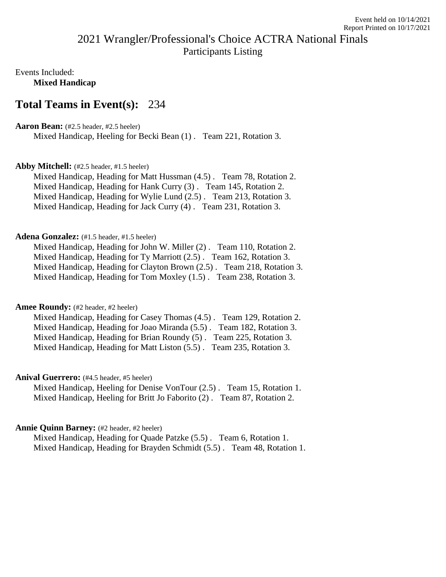# 2021 Wrangler/Professional's Choice ACTRA National Finals Participants Listing

Events Included: **Mixed Handicap**

# **Total Teams in Event(s):** 234

## **Aaron Bean:** (#2.5 header, #2.5 heeler)

Mixed Handicap, Heeling for Becki Bean (1) . Team 221, Rotation 3.

## **Abby Mitchell:** (#2.5 header, #1.5 heeler)

Mixed Handicap, Heading for Matt Hussman (4.5) . Team 78, Rotation 2. Mixed Handicap, Heading for Hank Curry (3) . Team 145, Rotation 2. Mixed Handicap, Heading for Wylie Lund (2.5) . Team 213, Rotation 3. Mixed Handicap, Heading for Jack Curry (4) . Team 231, Rotation 3.

## Adena Gonzalez: (#1.5 header, #1.5 heeler)

Mixed Handicap, Heading for John W. Miller (2) . Team 110, Rotation 2. Mixed Handicap, Heading for Ty Marriott (2.5) . Team 162, Rotation 3. Mixed Handicap, Heading for Clayton Brown (2.5) . Team 218, Rotation 3. Mixed Handicap, Heading for Tom Moxley (1.5) . Team 238, Rotation 3.

## Amee Roundy: (#2 header, #2 heeler)

Mixed Handicap, Heading for Casey Thomas (4.5) . Team 129, Rotation 2. Mixed Handicap, Heading for Joao Miranda (5.5) . Team 182, Rotation 3. Mixed Handicap, Heading for Brian Roundy (5) . Team 225, Rotation 3. Mixed Handicap, Heading for Matt Liston (5.5) . Team 235, Rotation 3.

## Anival Guerrero: (#4.5 header, #5 heeler)

Mixed Handicap, Heeling for Denise VonTour (2.5) . Team 15, Rotation 1. Mixed Handicap, Heeling for Britt Jo Faborito (2) . Team 87, Rotation 2.

## **Annie Quinn Barney:** (#2 header, #2 heeler)

Mixed Handicap, Heading for Quade Patzke (5.5) . Team 6, Rotation 1. Mixed Handicap, Heading for Brayden Schmidt (5.5) . Team 48, Rotation 1.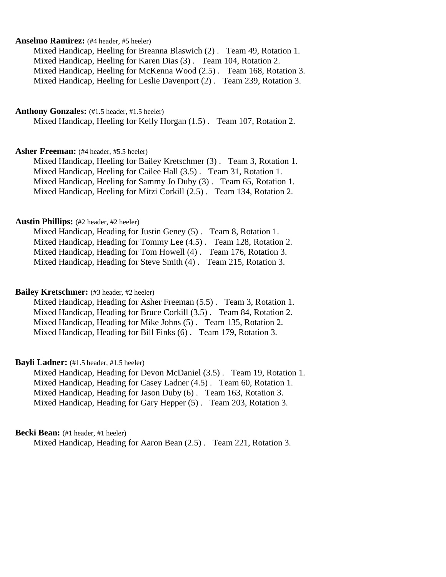## **Anselmo Ramirez:** (#4 header, #5 heeler)

Mixed Handicap, Heeling for Breanna Blaswich (2) . Team 49, Rotation 1. Mixed Handicap, Heeling for Karen Dias (3) . Team 104, Rotation 2. Mixed Handicap, Heeling for McKenna Wood (2.5) . Team 168, Rotation 3. Mixed Handicap, Heeling for Leslie Davenport (2) . Team 239, Rotation 3.

## Anthony Gonzales: (#1.5 header, #1.5 heeler)

Mixed Handicap, Heeling for Kelly Horgan (1.5) . Team 107, Rotation 2.

#### **Asher Freeman:** (#4 header, #5.5 heeler)

Mixed Handicap, Heeling for Bailey Kretschmer (3) . Team 3, Rotation 1. Mixed Handicap, Heeling for Cailee Hall (3.5) . Team 31, Rotation 1. Mixed Handicap, Heeling for Sammy Jo Duby (3) . Team 65, Rotation 1. Mixed Handicap, Heeling for Mitzi Corkill (2.5) . Team 134, Rotation 2.

#### **Austin Phillips:** (#2 header, #2 heeler)

Mixed Handicap, Heading for Justin Geney (5) . Team 8, Rotation 1. Mixed Handicap, Heading for Tommy Lee (4.5) . Team 128, Rotation 2. Mixed Handicap, Heading for Tom Howell (4) . Team 176, Rotation 3. Mixed Handicap, Heading for Steve Smith (4) . Team 215, Rotation 3.

#### **Bailey Kretschmer:** (#3 header, #2 heeler)

Mixed Handicap, Heading for Asher Freeman (5.5) . Team 3, Rotation 1. Mixed Handicap, Heading for Bruce Corkill (3.5) . Team 84, Rotation 2. Mixed Handicap, Heading for Mike Johns (5) . Team 135, Rotation 2. Mixed Handicap, Heading for Bill Finks (6) . Team 179, Rotation 3.

#### **Bayli Ladner:** (#1.5 header, #1.5 heeler)

Mixed Handicap, Heading for Devon McDaniel (3.5) . Team 19, Rotation 1. Mixed Handicap, Heading for Casey Ladner (4.5) . Team 60, Rotation 1. Mixed Handicap, Heading for Jason Duby (6) . Team 163, Rotation 3. Mixed Handicap, Heading for Gary Hepper (5) . Team 203, Rotation 3.

## Becki Bean: (#1 header, #1 heeler)

Mixed Handicap, Heading for Aaron Bean (2.5) . Team 221, Rotation 3.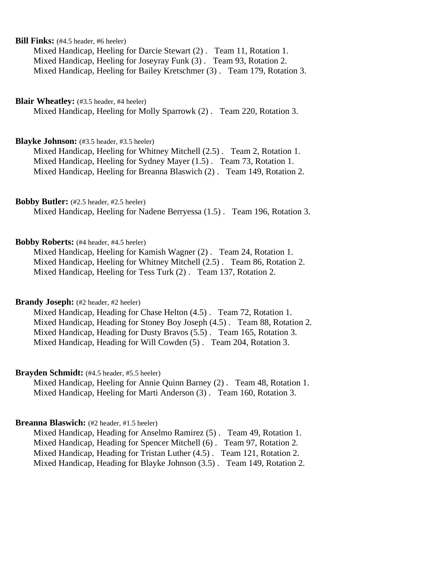## **Bill Finks:** (#4.5 header, #6 heeler)

Mixed Handicap, Heeling for Darcie Stewart (2) . Team 11, Rotation 1. Mixed Handicap, Heeling for Joseyray Funk (3) . Team 93, Rotation 2. Mixed Handicap, Heeling for Bailey Kretschmer (3) . Team 179, Rotation 3.

## **Blair Wheatley:** (#3.5 header, #4 heeler)

Mixed Handicap, Heeling for Molly Sparrowk (2) . Team 220, Rotation 3.

## **Blayke Johnson:** (#3.5 header, #3.5 heeler)

Mixed Handicap, Heeling for Whitney Mitchell (2.5) . Team 2, Rotation 1. Mixed Handicap, Heeling for Sydney Mayer (1.5) . Team 73, Rotation 1. Mixed Handicap, Heeling for Breanna Blaswich (2) . Team 149, Rotation 2.

#### **Bobby Butler:** (#2.5 header, #2.5 heeler)

Mixed Handicap, Heeling for Nadene Berryessa (1.5) . Team 196, Rotation 3.

## **Bobby Roberts:** (#4 header, #4.5 heeler)

Mixed Handicap, Heeling for Kamish Wagner (2) . Team 24, Rotation 1. Mixed Handicap, Heeling for Whitney Mitchell (2.5) . Team 86, Rotation 2. Mixed Handicap, Heeling for Tess Turk (2) . Team 137, Rotation 2.

## **Brandy Joseph:** (#2 header, #2 heeler)

Mixed Handicap, Heading for Chase Helton (4.5) . Team 72, Rotation 1. Mixed Handicap, Heading for Stoney Boy Joseph (4.5) . Team 88, Rotation 2. Mixed Handicap, Heading for Dusty Bravos (5.5) . Team 165, Rotation 3. Mixed Handicap, Heading for Will Cowden (5) . Team 204, Rotation 3.

#### **Brayden Schmidt:** (#4.5 header, #5.5 heeler)

Mixed Handicap, Heeling for Annie Quinn Barney (2) . Team 48, Rotation 1. Mixed Handicap, Heeling for Marti Anderson (3) . Team 160, Rotation 3.

## **Breanna Blaswich:** (#2 header, #1.5 heeler)

Mixed Handicap, Heading for Anselmo Ramirez (5) . Team 49, Rotation 1. Mixed Handicap, Heading for Spencer Mitchell (6) . Team 97, Rotation 2. Mixed Handicap, Heading for Tristan Luther (4.5) . Team 121, Rotation 2. Mixed Handicap, Heading for Blayke Johnson (3.5) . Team 149, Rotation 2.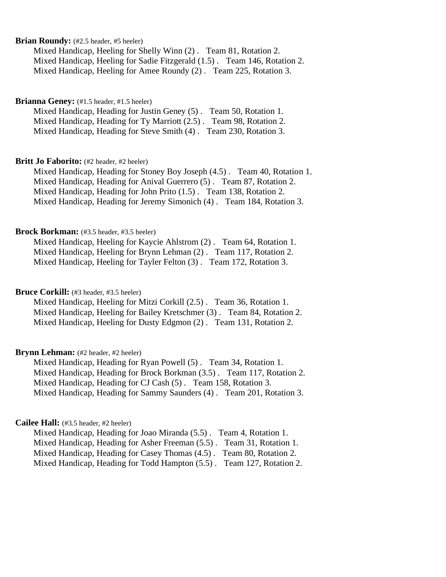## **Brian Roundy:** (#2.5 header, #5 heeler)

Mixed Handicap, Heeling for Shelly Winn (2) . Team 81, Rotation 2. Mixed Handicap, Heeling for Sadie Fitzgerald (1.5) . Team 146, Rotation 2. Mixed Handicap, Heeling for Amee Roundy (2) . Team 225, Rotation 3.

## Brianna Geney: (#1.5 header, #1.5 heeler)

Mixed Handicap, Heading for Justin Geney (5) . Team 50, Rotation 1. Mixed Handicap, Heading for Ty Marriott (2.5) . Team 98, Rotation 2. Mixed Handicap, Heading for Steve Smith (4) . Team 230, Rotation 3.

#### **Britt Jo Faborito:** (#2 header, #2 heeler)

Mixed Handicap, Heading for Stoney Boy Joseph (4.5) . Team 40, Rotation 1. Mixed Handicap, Heading for Anival Guerrero (5) . Team 87, Rotation 2. Mixed Handicap, Heading for John Prito (1.5) . Team 138, Rotation 2. Mixed Handicap, Heading for Jeremy Simonich (4) . Team 184, Rotation 3.

#### **Brock Borkman:** (#3.5 header, #3.5 heeler)

Mixed Handicap, Heeling for Kaycie Ahlstrom (2) . Team 64, Rotation 1. Mixed Handicap, Heeling for Brynn Lehman (2) . Team 117, Rotation 2. Mixed Handicap, Heeling for Tayler Felton (3) . Team 172, Rotation 3.

#### Bruce Corkill: (#3 header, #3.5 heeler)

Mixed Handicap, Heeling for Mitzi Corkill (2.5) . Team 36, Rotation 1. Mixed Handicap, Heeling for Bailey Kretschmer (3) . Team 84, Rotation 2. Mixed Handicap, Heeling for Dusty Edgmon (2) . Team 131, Rotation 2.

## **Brynn Lehman:** (#2 header, #2 heeler)

Mixed Handicap, Heading for Ryan Powell (5) . Team 34, Rotation 1. Mixed Handicap, Heading for Brock Borkman (3.5) . Team 117, Rotation 2. Mixed Handicap, Heading for CJ Cash (5) . Team 158, Rotation 3. Mixed Handicap, Heading for Sammy Saunders (4) . Team 201, Rotation 3.

#### **Cailee Hall:** (#3.5 header, #2 heeler)

Mixed Handicap, Heading for Joao Miranda (5.5) . Team 4, Rotation 1. Mixed Handicap, Heading for Asher Freeman (5.5) . Team 31, Rotation 1. Mixed Handicap, Heading for Casey Thomas (4.5) . Team 80, Rotation 2. Mixed Handicap, Heading for Todd Hampton (5.5) . Team 127, Rotation 2.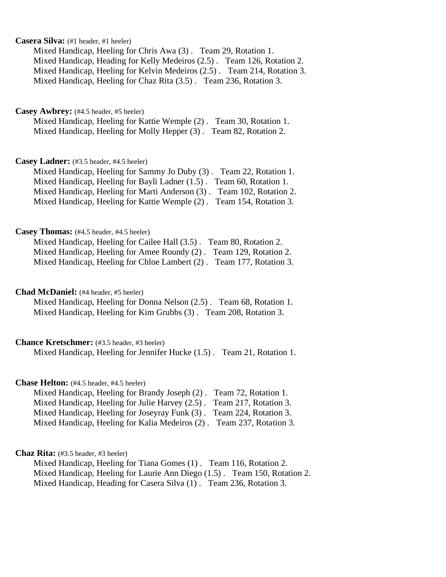## **Casera Silva:** (#1 header, #1 heeler)

Mixed Handicap, Heeling for Chris Awa (3) . Team 29, Rotation 1. Mixed Handicap, Heading for Kelly Medeiros (2.5) . Team 126, Rotation 2. Mixed Handicap, Heeling for Kelvin Medeiros (2.5) . Team 214, Rotation 3. Mixed Handicap, Heeling for Chaz Rita (3.5) . Team 236, Rotation 3.

#### **Casey Awbrey:** (#4.5 header, #5 heeler)

Mixed Handicap, Heeling for Kattie Wemple (2) . Team 30, Rotation 1. Mixed Handicap, Heeling for Molly Hepper (3) . Team 82, Rotation 2.

## **Casey Ladner:** (#3.5 header, #4.5 heeler)

Mixed Handicap, Heeling for Sammy Jo Duby (3) . Team 22, Rotation 1. Mixed Handicap, Heeling for Bayli Ladner (1.5) . Team 60, Rotation 1. Mixed Handicap, Heeling for Marti Anderson (3) . Team 102, Rotation 2. Mixed Handicap, Heeling for Kattie Wemple (2) . Team 154, Rotation 3.

#### **Casey Thomas:** (#4.5 header, #4.5 heeler)

Mixed Handicap, Heeling for Cailee Hall (3.5) . Team 80, Rotation 2. Mixed Handicap, Heeling for Amee Roundy (2) . Team 129, Rotation 2. Mixed Handicap, Heeling for Chloe Lambert (2) . Team 177, Rotation 3.

#### **Chad McDaniel:** (#4 header, #5 heeler)

Mixed Handicap, Heeling for Donna Nelson (2.5) . Team 68, Rotation 1. Mixed Handicap, Heeling for Kim Grubbs (3) . Team 208, Rotation 3.

## **Chance Kretschmer:** (#3.5 header, #3 heeler)

Mixed Handicap, Heeling for Jennifer Hucke (1.5) . Team 21, Rotation 1.

#### **Chase Helton:** (#4.5 header, #4.5 heeler)

| Mixed Handicap, Heeling for Brandy Joseph (2). Team 72, Rotation 1.   |  |
|-----------------------------------------------------------------------|--|
| Mixed Handicap, Heeling for Julie Harvey (2.5). Team 217, Rotation 3. |  |
| Mixed Handicap, Heeling for Joseyray Funk (3). Team 224, Rotation 3.  |  |
| Mixed Handicap, Heeling for Kalia Medeiros (2). Team 237, Rotation 3. |  |

## **Chaz Rita:** (#3.5 header, #3 heeler)

Mixed Handicap, Heeling for Tiana Gomes (1) . Team 116, Rotation 2. Mixed Handicap, Heeling for Laurie Ann Diego (1.5) . Team 150, Rotation 2. Mixed Handicap, Heading for Casera Silva (1) . Team 236, Rotation 3.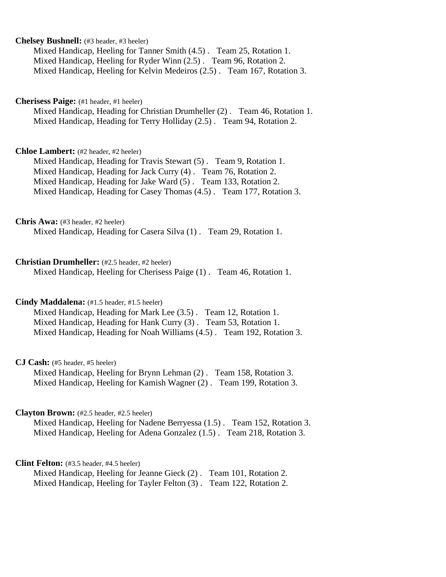## **Chelsey Bushnell:** (#3 header, #3 heeler)

Mixed Handicap, Heeling for Tanner Smith (4.5) . Team 25, Rotation 1. Mixed Handicap, Heeling for Ryder Winn (2.5) . Team 96, Rotation 2. Mixed Handicap, Heeling for Kelvin Medeiros (2.5) . Team 167, Rotation 3.

## **Cherisess Paige:** (#1 header, #1 heeler)

Mixed Handicap, Heading for Christian Drumheller (2) . Team 46, Rotation 1. Mixed Handicap, Heading for Terry Holliday (2.5) . Team 94, Rotation 2.

#### **Chloe Lambert:** (#2 header, #2 heeler)

Mixed Handicap, Heading for Travis Stewart (5) . Team 9, Rotation 1. Mixed Handicap, Heading for Jack Curry (4) . Team 76, Rotation 2. Mixed Handicap, Heading for Jake Ward (5) . Team 133, Rotation 2. Mixed Handicap, Heading for Casey Thomas (4.5) . Team 177, Rotation 3.

#### **Chris Awa:** (#3 header, #2 heeler)

Mixed Handicap, Heading for Casera Silva (1) . Team 29, Rotation 1.

#### **Christian Drumheller:** (#2.5 header, #2 heeler)

Mixed Handicap, Heeling for Cherisess Paige (1) . Team 46, Rotation 1.

## **Cindy Maddalena:** (#1.5 header, #1.5 heeler)

Mixed Handicap, Heading for Mark Lee (3.5) . Team 12, Rotation 1. Mixed Handicap, Heading for Hank Curry (3) . Team 53, Rotation 1. Mixed Handicap, Heading for Noah Williams (4.5) . Team 192, Rotation 3.

#### **CJ Cash:** (#5 header, #5 heeler)

Mixed Handicap, Heeling for Brynn Lehman (2) . Team 158, Rotation 3. Mixed Handicap, Heeling for Kamish Wagner (2) . Team 199, Rotation 3.

#### **Clayton Brown:** (#2.5 header, #2.5 heeler)

Mixed Handicap, Heeling for Nadene Berryessa (1.5) . Team 152, Rotation 3. Mixed Handicap, Heeling for Adena Gonzalez (1.5) . Team 218, Rotation 3.

#### **Clint Felton:** (#3.5 header, #4.5 heeler)

Mixed Handicap, Heeling for Jeanne Gieck (2) . Team 101, Rotation 2. Mixed Handicap, Heeling for Tayler Felton (3) . Team 122, Rotation 2.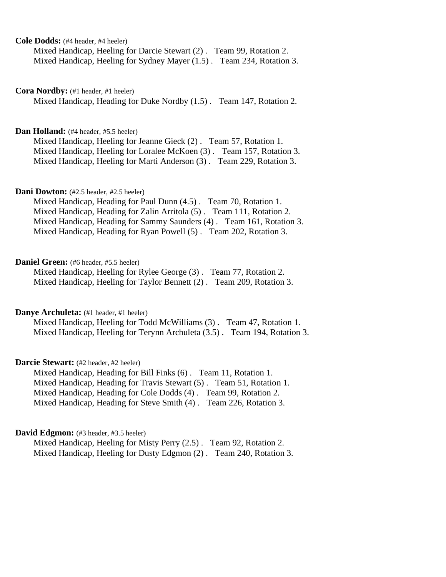**Cole Dodds:** (#4 header, #4 heeler)

Mixed Handicap, Heeling for Darcie Stewart (2) . Team 99, Rotation 2. Mixed Handicap, Heeling for Sydney Mayer (1.5) . Team 234, Rotation 3.

**Cora Nordby:** (#1 header, #1 heeler)

Mixed Handicap, Heading for Duke Nordby (1.5) . Team 147, Rotation 2.

#### Dan Holland: (#4 header, #5.5 heeler)

Mixed Handicap, Heeling for Jeanne Gieck (2) . Team 57, Rotation 1. Mixed Handicap, Heeling for Loralee McKoen (3) . Team 157, Rotation 3. Mixed Handicap, Heeling for Marti Anderson (3) . Team 229, Rotation 3.

### **Dani Dowton:** (#2.5 header, #2.5 heeler)

Mixed Handicap, Heading for Paul Dunn (4.5) . Team 70, Rotation 1. Mixed Handicap, Heading for Zalin Arritola (5) . Team 111, Rotation 2. Mixed Handicap, Heading for Sammy Saunders (4) . Team 161, Rotation 3. Mixed Handicap, Heading for Ryan Powell (5) . Team 202, Rotation 3.

#### **Daniel Green:** (#6 header, #5.5 heeler)

Mixed Handicap, Heeling for Rylee George (3) . Team 77, Rotation 2. Mixed Handicap, Heeling for Taylor Bennett (2) . Team 209, Rotation 3.

Danye Archuleta: (#1 header, #1 heeler)

Mixed Handicap, Heeling for Todd McWilliams (3) . Team 47, Rotation 1. Mixed Handicap, Heeling for Terynn Archuleta (3.5) . Team 194, Rotation 3.

## Darcie Stewart: (#2 header, #2 heeler)

Mixed Handicap, Heading for Bill Finks (6) . Team 11, Rotation 1. Mixed Handicap, Heading for Travis Stewart (5) . Team 51, Rotation 1. Mixed Handicap, Heading for Cole Dodds (4) . Team 99, Rotation 2. Mixed Handicap, Heading for Steve Smith (4) . Team 226, Rotation 3.

#### **David Edgmon:** (#3 header, #3.5 heeler)

Mixed Handicap, Heeling for Misty Perry (2.5) . Team 92, Rotation 2. Mixed Handicap, Heeling for Dusty Edgmon (2) . Team 240, Rotation 3.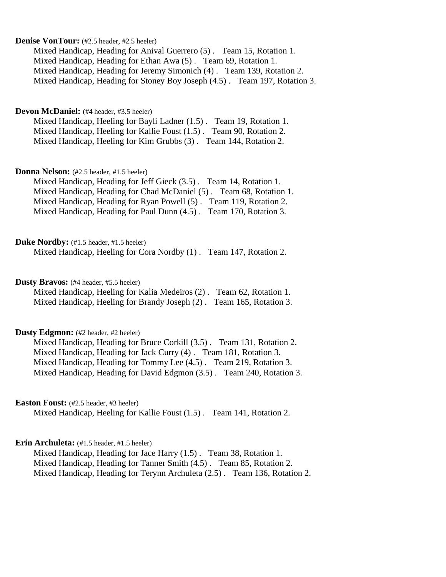## **Denise VonTour:** (#2.5 header, #2.5 heeler)

Mixed Handicap, Heading for Anival Guerrero (5) . Team 15, Rotation 1. Mixed Handicap, Heading for Ethan Awa (5) . Team 69, Rotation 1. Mixed Handicap, Heading for Jeremy Simonich (4) . Team 139, Rotation 2. Mixed Handicap, Heading for Stoney Boy Joseph (4.5) . Team 197, Rotation 3.

#### **Devon McDaniel:** (#4 header, #3.5 heeler)

Mixed Handicap, Heeling for Bayli Ladner (1.5) . Team 19, Rotation 1. Mixed Handicap, Heeling for Kallie Foust (1.5) . Team 90, Rotation 2. Mixed Handicap, Heeling for Kim Grubbs (3) . Team 144, Rotation 2.

#### **Donna Nelson:** (#2.5 header, #1.5 heeler)

Mixed Handicap, Heading for Jeff Gieck (3.5) . Team 14, Rotation 1. Mixed Handicap, Heading for Chad McDaniel (5) . Team 68, Rotation 1. Mixed Handicap, Heading for Ryan Powell (5) . Team 119, Rotation 2. Mixed Handicap, Heading for Paul Dunn (4.5) . Team 170, Rotation 3.

#### Duke Nordby: (#1.5 header, #1.5 heeler)

Mixed Handicap, Heeling for Cora Nordby (1) . Team 147, Rotation 2.

## **Dusty Bravos:** (#4 header, #5.5 heeler)

Mixed Handicap, Heeling for Kalia Medeiros (2) . Team 62, Rotation 1. Mixed Handicap, Heeling for Brandy Joseph (2) . Team 165, Rotation 3.

### **Dusty Edgmon:** (#2 header, #2 heeler)

Mixed Handicap, Heading for Bruce Corkill (3.5) . Team 131, Rotation 2. Mixed Handicap, Heading for Jack Curry (4) . Team 181, Rotation 3. Mixed Handicap, Heading for Tommy Lee (4.5) . Team 219, Rotation 3. Mixed Handicap, Heading for David Edgmon (3.5) . Team 240, Rotation 3.

## **Easton Foust:** (#2.5 header, #3 heeler)

Mixed Handicap, Heeling for Kallie Foust (1.5) . Team 141, Rotation 2.

## Erin Archuleta: (#1.5 header, #1.5 heeler)

Mixed Handicap, Heading for Jace Harry (1.5) . Team 38, Rotation 1. Mixed Handicap, Heading for Tanner Smith (4.5) . Team 85, Rotation 2. Mixed Handicap, Heading for Terynn Archuleta (2.5) . Team 136, Rotation 2.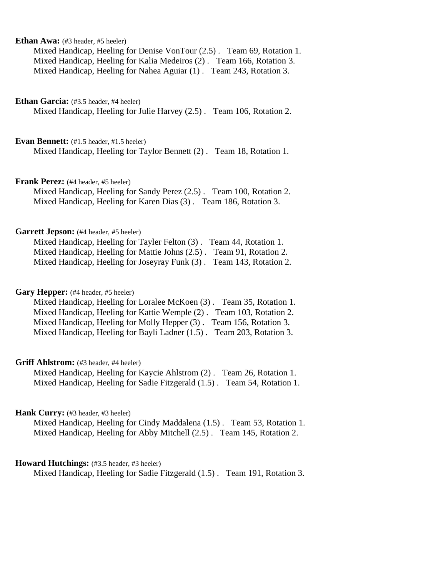## **Ethan Awa:** (#3 header, #5 heeler)

Mixed Handicap, Heeling for Denise VonTour (2.5) . Team 69, Rotation 1. Mixed Handicap, Heeling for Kalia Medeiros (2) . Team 166, Rotation 3. Mixed Handicap, Heeling for Nahea Aguiar (1) . Team 243, Rotation 3.

**Ethan Garcia:** (#3.5 header, #4 heeler)

Mixed Handicap, Heeling for Julie Harvey (2.5) . Team 106, Rotation 2.

**Evan Bennett:** (#1.5 header, #1.5 heeler)

Mixed Handicap, Heeling for Taylor Bennett (2) . Team 18, Rotation 1.

**Frank Perez:** (#4 header, #5 heeler)

Mixed Handicap, Heeling for Sandy Perez (2.5) . Team 100, Rotation 2. Mixed Handicap, Heeling for Karen Dias (3) . Team 186, Rotation 3.

## Garrett Jepson: (#4 header, #5 heeler)

| Mixed Handicap, Heeling for Tayler Felton (3). Team 44, Rotation 1.  |  |
|----------------------------------------------------------------------|--|
| Mixed Handicap, Heeling for Mattie Johns (2.5). Team 91, Rotation 2. |  |
| Mixed Handicap, Heeling for Joseyray Funk (3). Team 143, Rotation 2. |  |

#### Gary Hepper: (#4 header, #5 heeler)

Mixed Handicap, Heeling for Loralee McKoen (3) . Team 35, Rotation 1. Mixed Handicap, Heeling for Kattie Wemple (2) . Team 103, Rotation 2. Mixed Handicap, Heeling for Molly Hepper (3) . Team 156, Rotation 3. Mixed Handicap, Heeling for Bayli Ladner (1.5) . Team 203, Rotation 3.

#### **Griff Ahlstrom:** (#3 header, #4 heeler)

Mixed Handicap, Heeling for Kaycie Ahlstrom (2) . Team 26, Rotation 1. Mixed Handicap, Heeling for Sadie Fitzgerald (1.5) . Team 54, Rotation 1.

#### Hank Curry: (#3 header, #3 heeler)

Mixed Handicap, Heeling for Cindy Maddalena (1.5) . Team 53, Rotation 1. Mixed Handicap, Heeling for Abby Mitchell (2.5) . Team 145, Rotation 2.

#### Howard Hutchings: (#3.5 header, #3 heeler)

Mixed Handicap, Heeling for Sadie Fitzgerald (1.5) . Team 191, Rotation 3.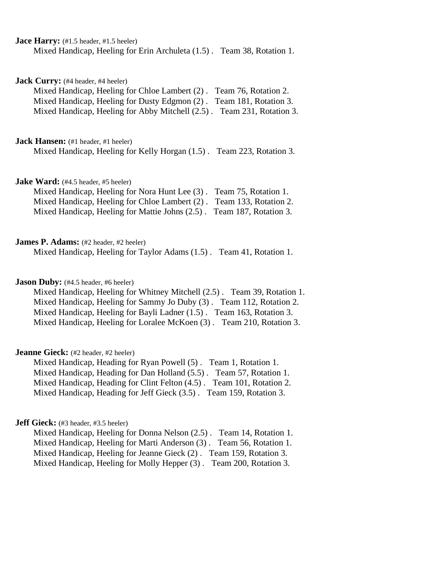**Jace Harry:** (#1.5 header, #1.5 heeler) Mixed Handicap, Heeling for Erin Archuleta (1.5) . Team 38, Rotation 1.

**Jack Curry:** (#4 header, #4 heeler)

Mixed Handicap, Heeling for Chloe Lambert (2) . Team 76, Rotation 2. Mixed Handicap, Heeling for Dusty Edgmon (2) . Team 181, Rotation 3. Mixed Handicap, Heeling for Abby Mitchell (2.5) . Team 231, Rotation 3.

**Jack Hansen:** (#1 header, #1 heeler)

Mixed Handicap, Heeling for Kelly Horgan (1.5) . Team 223, Rotation 3.

**Jake Ward:** (#4.5 header, #5 heeler)

| Mixed Handicap, Heeling for Nora Hunt Lee (3). Team 75, Rotation 1.   |  |
|-----------------------------------------------------------------------|--|
| Mixed Handicap, Heeling for Chloe Lambert (2). Team 133, Rotation 2.  |  |
| Mixed Handicap, Heeling for Mattie Johns (2.5). Team 187, Rotation 3. |  |

#### **James P. Adams:** (#2 header, #2 heeler)

Mixed Handicap, Heeling for Taylor Adams (1.5) . Team 41, Rotation 1.

## **Jason Duby:** (#4.5 header, #6 heeler)

Mixed Handicap, Heeling for Whitney Mitchell (2.5) . Team 39, Rotation 1. Mixed Handicap, Heeling for Sammy Jo Duby (3) . Team 112, Rotation 2. Mixed Handicap, Heeling for Bayli Ladner (1.5). Team 163, Rotation 3. Mixed Handicap, Heeling for Loralee McKoen (3) . Team 210, Rotation 3.

## **Jeanne Gieck:** (#2 header, #2 heeler)

Mixed Handicap, Heading for Ryan Powell (5) . Team 1, Rotation 1. Mixed Handicap, Heading for Dan Holland (5.5) . Team 57, Rotation 1. Mixed Handicap, Heading for Clint Felton (4.5) . Team 101, Rotation 2. Mixed Handicap, Heading for Jeff Gieck (3.5) . Team 159, Rotation 3.

## **Jeff Gieck:** (#3 header, #3.5 heeler)

Mixed Handicap, Heeling for Donna Nelson (2.5) . Team 14, Rotation 1. Mixed Handicap, Heeling for Marti Anderson (3) . Team 56, Rotation 1. Mixed Handicap, Heeling for Jeanne Gieck (2) . Team 159, Rotation 3. Mixed Handicap, Heeling for Molly Hepper (3) . Team 200, Rotation 3.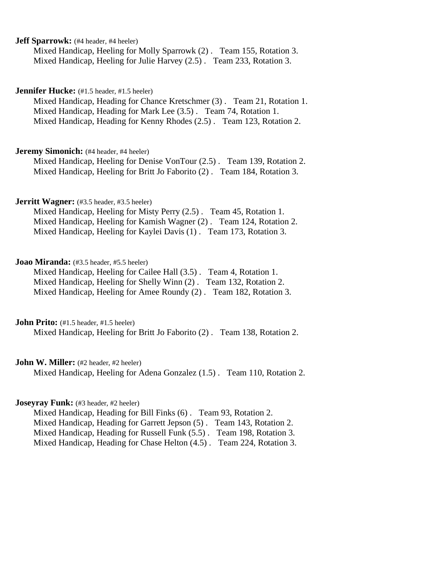## **Jeff Sparrowk:** (#4 header, #4 heeler)

Mixed Handicap, Heeling for Molly Sparrowk (2) . Team 155, Rotation 3. Mixed Handicap, Heeling for Julie Harvey (2.5) . Team 233, Rotation 3.

#### **Jennifer Hucke:** (#1.5 header, #1.5 heeler)

Mixed Handicap, Heading for Chance Kretschmer (3) . Team 21, Rotation 1. Mixed Handicap, Heading for Mark Lee (3.5) . Team 74, Rotation 1. Mixed Handicap, Heading for Kenny Rhodes (2.5) . Team 123, Rotation 2.

#### **Jeremy Simonich:** (#4 header, #4 heeler)

Mixed Handicap, Heeling for Denise VonTour (2.5) . Team 139, Rotation 2. Mixed Handicap, Heeling for Britt Jo Faborito (2) . Team 184, Rotation 3.

## **Jerritt Wagner:** (#3.5 header, #3.5 heeler)

Mixed Handicap, Heeling for Misty Perry (2.5) . Team 45, Rotation 1. Mixed Handicap, Heeling for Kamish Wagner (2) . Team 124, Rotation 2. Mixed Handicap, Heeling for Kaylei Davis (1) . Team 173, Rotation 3.

#### **Joao Miranda:** (#3.5 header, #5.5 heeler)

Mixed Handicap, Heeling for Cailee Hall (3.5) . Team 4, Rotation 1. Mixed Handicap, Heeling for Shelly Winn (2) . Team 132, Rotation 2. Mixed Handicap, Heeling for Amee Roundy (2) . Team 182, Rotation 3.

**John Prito:** (#1.5 header, #1.5 heeler)

Mixed Handicap, Heeling for Britt Jo Faborito (2) . Team 138, Rotation 2.

## John W. Miller: (#2 header, #2 heeler)

Mixed Handicap, Heeling for Adena Gonzalez (1.5) . Team 110, Rotation 2.

## **Joseyray Funk:** (#3 header, #2 heeler)

Mixed Handicap, Heading for Bill Finks (6) . Team 93, Rotation 2. Mixed Handicap, Heading for Garrett Jepson (5) . Team 143, Rotation 2. Mixed Handicap, Heading for Russell Funk (5.5) . Team 198, Rotation 3. Mixed Handicap, Heading for Chase Helton (4.5) . Team 224, Rotation 3.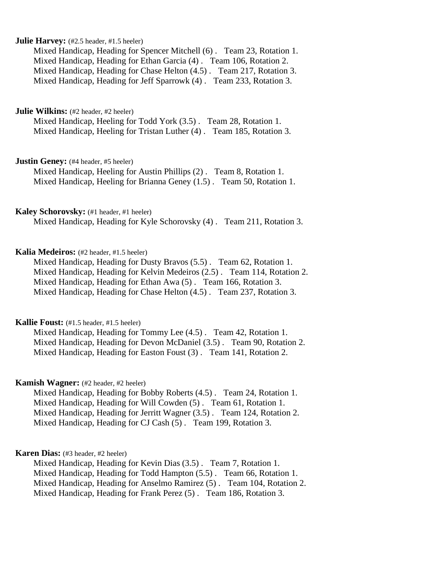## **Julie Harvey:** (#2.5 header, #1.5 heeler)

Mixed Handicap, Heading for Spencer Mitchell (6) . Team 23, Rotation 1. Mixed Handicap, Heading for Ethan Garcia (4) . Team 106, Rotation 2. Mixed Handicap, Heading for Chase Helton (4.5) . Team 217, Rotation 3. Mixed Handicap, Heading for Jeff Sparrowk (4) . Team 233, Rotation 3.

**Julie Wilkins:** (#2 header, #2 heeler)

Mixed Handicap, Heeling for Todd York (3.5) . Team 28, Rotation 1. Mixed Handicap, Heeling for Tristan Luther (4) . Team 185, Rotation 3.

**Justin Geney:** (#4 header, #5 heeler)

Mixed Handicap, Heeling for Austin Phillips (2) . Team 8, Rotation 1. Mixed Handicap, Heeling for Brianna Geney (1.5) . Team 50, Rotation 1.

#### **Kaley Schorovsky:** (#1 header, #1 heeler)

Mixed Handicap, Heading for Kyle Schorovsky (4) . Team 211, Rotation 3.

## **Kalia Medeiros:** (#2 header, #1.5 heeler)

Mixed Handicap, Heading for Dusty Bravos (5.5) . Team 62, Rotation 1. Mixed Handicap, Heading for Kelvin Medeiros (2.5) . Team 114, Rotation 2. Mixed Handicap, Heading for Ethan Awa (5) . Team 166, Rotation 3. Mixed Handicap, Heading for Chase Helton (4.5) . Team 237, Rotation 3.

### **Kallie Foust:** (#1.5 header, #1.5 heeler)

Mixed Handicap, Heading for Tommy Lee (4.5) . Team 42, Rotation 1. Mixed Handicap, Heading for Devon McDaniel (3.5) . Team 90, Rotation 2. Mixed Handicap, Heading for Easton Foust (3) . Team 141, Rotation 2.

#### **Kamish Wagner:** (#2 header, #2 heeler)

Mixed Handicap, Heading for Bobby Roberts (4.5) . Team 24, Rotation 1. Mixed Handicap, Heading for Will Cowden (5) . Team 61, Rotation 1. Mixed Handicap, Heading for Jerritt Wagner (3.5) . Team 124, Rotation 2. Mixed Handicap, Heading for CJ Cash (5) . Team 199, Rotation 3.

## **Karen Dias:** (#3 header, #2 heeler)

Mixed Handicap, Heading for Kevin Dias (3.5) . Team 7, Rotation 1. Mixed Handicap, Heading for Todd Hampton (5.5) . Team 66, Rotation 1. Mixed Handicap, Heading for Anselmo Ramirez (5) . Team 104, Rotation 2. Mixed Handicap, Heading for Frank Perez (5) . Team 186, Rotation 3.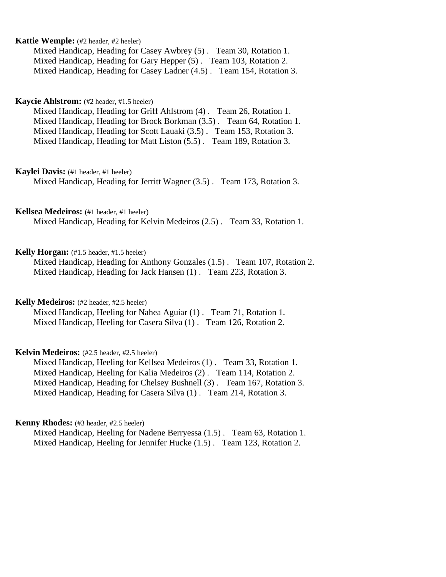## **Kattie Wemple:** (#2 header, #2 heeler)

Mixed Handicap, Heading for Casey Awbrey (5) . Team 30, Rotation 1. Mixed Handicap, Heading for Gary Hepper (5) . Team 103, Rotation 2. Mixed Handicap, Heading for Casey Ladner (4.5) . Team 154, Rotation 3.

## **Kaycie Ahlstrom:** (#2 header, #1.5 heeler)

Mixed Handicap, Heading for Griff Ahlstrom (4) . Team 26, Rotation 1. Mixed Handicap, Heading for Brock Borkman (3.5) . Team 64, Rotation 1. Mixed Handicap, Heading for Scott Lauaki (3.5) . Team 153, Rotation 3. Mixed Handicap, Heading for Matt Liston (5.5) . Team 189, Rotation 3.

#### **Kaylei Davis:** (#1 header, #1 heeler)

Mixed Handicap, Heading for Jerritt Wagner (3.5) . Team 173, Rotation 3.

#### **Kellsea Medeiros:** (#1 header, #1 heeler)

Mixed Handicap, Heading for Kelvin Medeiros (2.5) . Team 33, Rotation 1.

## **Kelly Horgan:** (#1.5 header, #1.5 heeler)

Mixed Handicap, Heading for Anthony Gonzales (1.5) . Team 107, Rotation 2. Mixed Handicap, Heading for Jack Hansen (1) . Team 223, Rotation 3.

#### **Kelly Medeiros:** (#2 header, #2.5 heeler)

Mixed Handicap, Heeling for Nahea Aguiar (1) . Team 71, Rotation 1. Mixed Handicap, Heeling for Casera Silva (1) . Team 126, Rotation 2.

## **Kelvin Medeiros:** (#2.5 header, #2.5 heeler)

Mixed Handicap, Heeling for Kellsea Medeiros (1) . Team 33, Rotation 1. Mixed Handicap, Heeling for Kalia Medeiros (2) . Team 114, Rotation 2. Mixed Handicap, Heading for Chelsey Bushnell (3) . Team 167, Rotation 3. Mixed Handicap, Heading for Casera Silva (1) . Team 214, Rotation 3.

#### **Kenny Rhodes:** (#3 header, #2.5 heeler)

Mixed Handicap, Heeling for Nadene Berryessa (1.5) . Team 63, Rotation 1. Mixed Handicap, Heeling for Jennifer Hucke (1.5) . Team 123, Rotation 2.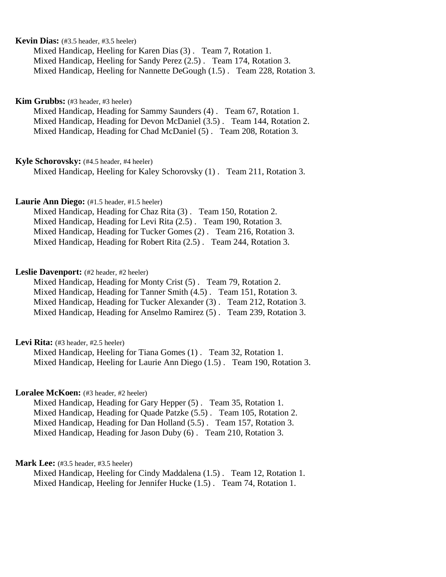## **Kevin Dias:** (#3.5 header, #3.5 heeler)

Mixed Handicap, Heeling for Karen Dias (3) . Team 7, Rotation 1. Mixed Handicap, Heeling for Sandy Perez (2.5) . Team 174, Rotation 3. Mixed Handicap, Heeling for Nannette DeGough (1.5) . Team 228, Rotation 3.

### **Kim Grubbs:** (#3 header, #3 heeler)

Mixed Handicap, Heading for Sammy Saunders (4) . Team 67, Rotation 1. Mixed Handicap, Heading for Devon McDaniel (3.5) . Team 144, Rotation 2. Mixed Handicap, Heading for Chad McDaniel (5) . Team 208, Rotation 3.

#### **Kyle Schorovsky:** (#4.5 header, #4 heeler)

Mixed Handicap, Heeling for Kaley Schorovsky (1) . Team 211, Rotation 3.

## Laurie Ann Diego: (#1.5 header, #1.5 heeler)

Mixed Handicap, Heading for Chaz Rita (3) . Team 150, Rotation 2. Mixed Handicap, Heading for Levi Rita (2.5) . Team 190, Rotation 3. Mixed Handicap, Heading for Tucker Gomes (2) . Team 216, Rotation 3. Mixed Handicap, Heading for Robert Rita (2.5) . Team 244, Rotation 3.

#### Leslie Davenport: (#2 header, #2 heeler)

Mixed Handicap, Heading for Monty Crist (5) . Team 79, Rotation 2. Mixed Handicap, Heading for Tanner Smith (4.5) . Team 151, Rotation 3. Mixed Handicap, Heading for Tucker Alexander (3) . Team 212, Rotation 3. Mixed Handicap, Heading for Anselmo Ramirez (5) . Team 239, Rotation 3.

#### Levi Rita: (#3 header, #2.5 heeler)

Mixed Handicap, Heeling for Tiana Gomes (1) . Team 32, Rotation 1. Mixed Handicap, Heeling for Laurie Ann Diego (1.5) . Team 190, Rotation 3.

#### Loralee McKoen: (#3 header, #2 heeler)

Mixed Handicap, Heading for Gary Hepper (5) . Team 35, Rotation 1. Mixed Handicap, Heading for Quade Patzke (5.5) . Team 105, Rotation 2. Mixed Handicap, Heading for Dan Holland (5.5) . Team 157, Rotation 3. Mixed Handicap, Heading for Jason Duby (6) . Team 210, Rotation 3.

#### **Mark Lee:** (#3.5 header, #3.5 heeler)

Mixed Handicap, Heeling for Cindy Maddalena (1.5) . Team 12, Rotation 1. Mixed Handicap, Heeling for Jennifer Hucke (1.5) . Team 74, Rotation 1.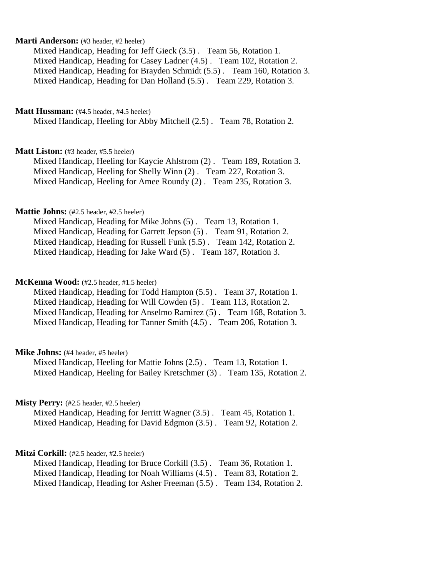#### **Marti Anderson:** (#3 header, #2 heeler)

Mixed Handicap, Heading for Jeff Gieck (3.5) . Team 56, Rotation 1. Mixed Handicap, Heading for Casey Ladner (4.5) . Team 102, Rotation 2. Mixed Handicap, Heading for Brayden Schmidt (5.5) . Team 160, Rotation 3. Mixed Handicap, Heading for Dan Holland (5.5) . Team 229, Rotation 3.

#### **Matt Hussman:** (#4.5 header, #4.5 heeler)

Mixed Handicap, Heeling for Abby Mitchell (2.5) . Team 78, Rotation 2.

#### **Matt Liston:** (#3 header, #5.5 heeler)

Mixed Handicap, Heeling for Kaycie Ahlstrom (2) . Team 189, Rotation 3. Mixed Handicap, Heeling for Shelly Winn (2) . Team 227, Rotation 3. Mixed Handicap, Heeling for Amee Roundy (2) . Team 235, Rotation 3.

## **Mattie Johns:** (#2.5 header, #2.5 heeler)

Mixed Handicap, Heading for Mike Johns (5) . Team 13, Rotation 1. Mixed Handicap, Heading for Garrett Jepson (5) . Team 91, Rotation 2. Mixed Handicap, Heading for Russell Funk (5.5) . Team 142, Rotation 2. Mixed Handicap, Heading for Jake Ward (5) . Team 187, Rotation 3.

#### **McKenna Wood:** (#2.5 header, #1.5 heeler)

Mixed Handicap, Heading for Todd Hampton (5.5) . Team 37, Rotation 1. Mixed Handicap, Heading for Will Cowden (5) . Team 113, Rotation 2. Mixed Handicap, Heading for Anselmo Ramirez (5) . Team 168, Rotation 3. Mixed Handicap, Heading for Tanner Smith (4.5) . Team 206, Rotation 3.

## **Mike Johns:** (#4 header, #5 heeler)

Mixed Handicap, Heeling for Mattie Johns (2.5) . Team 13, Rotation 1. Mixed Handicap, Heeling for Bailey Kretschmer (3) . Team 135, Rotation 2.

## **Misty Perry:** (#2.5 header, #2.5 heeler)

Mixed Handicap, Heading for Jerritt Wagner (3.5) . Team 45, Rotation 1. Mixed Handicap, Heading for David Edgmon (3.5) . Team 92, Rotation 2.

## Mitzi Corkill: (#2.5 header, #2.5 heeler)

Mixed Handicap, Heading for Bruce Corkill (3.5) . Team 36, Rotation 1. Mixed Handicap, Heading for Noah Williams (4.5) . Team 83, Rotation 2. Mixed Handicap, Heading for Asher Freeman (5.5) . Team 134, Rotation 2.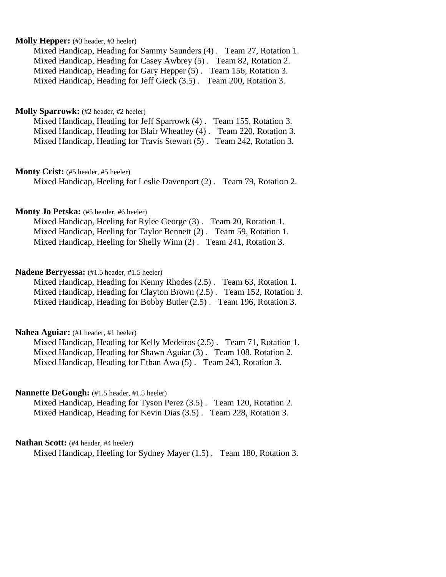### **Molly Hepper:** (#3 header, #3 heeler)

Mixed Handicap, Heading for Sammy Saunders (4) . Team 27, Rotation 1. Mixed Handicap, Heading for Casey Awbrey (5) . Team 82, Rotation 2. Mixed Handicap, Heading for Gary Hepper (5) . Team 156, Rotation 3. Mixed Handicap, Heading for Jeff Gieck (3.5) . Team 200, Rotation 3.

#### **Molly Sparrowk:** (#2 header, #2 heeler)

| Mixed Handicap, Heading for Jeff Sparrowk (4). Team 155, Rotation 3.  |  |
|-----------------------------------------------------------------------|--|
| Mixed Handicap, Heading for Blair Wheatley (4). Team 220, Rotation 3. |  |
| Mixed Handicap, Heading for Travis Stewart (5). Team 242, Rotation 3. |  |

## Monty Crist: (#5 header, #5 heeler)

Mixed Handicap, Heeling for Leslie Davenport (2) . Team 79, Rotation 2.

#### **Monty Jo Petska:** (#5 header, #6 heeler)

Mixed Handicap, Heeling for Rylee George (3) . Team 20, Rotation 1. Mixed Handicap, Heeling for Taylor Bennett (2) . Team 59, Rotation 1. Mixed Handicap, Heeling for Shelly Winn (2) . Team 241, Rotation 3.

#### **Nadene Berryessa:** (#1.5 header, #1.5 heeler)

Mixed Handicap, Heading for Kenny Rhodes (2.5) . Team 63, Rotation 1. Mixed Handicap, Heading for Clayton Brown (2.5) . Team 152, Rotation 3. Mixed Handicap, Heading for Bobby Butler (2.5) . Team 196, Rotation 3.

### **Nahea Aguiar:** (#1 header, #1 heeler)

Mixed Handicap, Heading for Kelly Medeiros (2.5) . Team 71, Rotation 1. Mixed Handicap, Heading for Shawn Aguiar (3) . Team 108, Rotation 2. Mixed Handicap, Heading for Ethan Awa (5) . Team 243, Rotation 3.

#### **Nannette DeGough:** (#1.5 header, #1.5 heeler)

Mixed Handicap, Heading for Tyson Perez (3.5) . Team 120, Rotation 2. Mixed Handicap, Heading for Kevin Dias (3.5) . Team 228, Rotation 3.

#### **Nathan Scott:** (#4 header, #4 heeler)

Mixed Handicap, Heeling for Sydney Mayer (1.5) . Team 180, Rotation 3.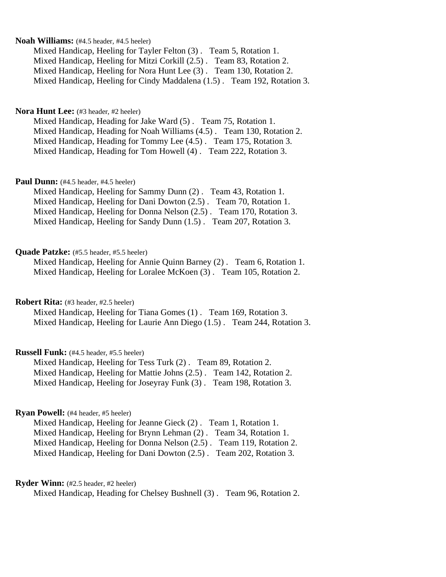#### **Noah Williams:** (#4.5 header, #4.5 heeler)

Mixed Handicap, Heeling for Tayler Felton (3) . Team 5, Rotation 1. Mixed Handicap, Heeling for Mitzi Corkill (2.5) . Team 83, Rotation 2. Mixed Handicap, Heeling for Nora Hunt Lee (3) . Team 130, Rotation 2. Mixed Handicap, Heeling for Cindy Maddalena (1.5) . Team 192, Rotation 3.

#### **Nora Hunt Lee:** (#3 header, #2 heeler)

Mixed Handicap, Heading for Jake Ward (5) . Team 75, Rotation 1. Mixed Handicap, Heading for Noah Williams (4.5) . Team 130, Rotation 2. Mixed Handicap, Heading for Tommy Lee (4.5) . Team 175, Rotation 3. Mixed Handicap, Heading for Tom Howell (4) . Team 222, Rotation 3.

## Paul Dunn: (#4.5 header, #4.5 heeler)

Mixed Handicap, Heeling for Sammy Dunn (2) . Team 43, Rotation 1. Mixed Handicap, Heeling for Dani Dowton (2.5) . Team 70, Rotation 1. Mixed Handicap, Heeling for Donna Nelson (2.5) . Team 170, Rotation 3. Mixed Handicap, Heeling for Sandy Dunn (1.5) . Team 207, Rotation 3.

#### Quade Patzke: (#5.5 header, #5.5 heeler)

Mixed Handicap, Heeling for Annie Quinn Barney (2) . Team 6, Rotation 1. Mixed Handicap, Heeling for Loralee McKoen (3) . Team 105, Rotation 2.

**Robert Rita:** (#3 header, #2.5 heeler)

Mixed Handicap, Heeling for Tiana Gomes (1) . Team 169, Rotation 3. Mixed Handicap, Heeling for Laurie Ann Diego (1.5) . Team 244, Rotation 3.

#### **Russell Funk:** (#4.5 header, #5.5 heeler)

Mixed Handicap, Heeling for Tess Turk (2) . Team 89, Rotation 2. Mixed Handicap, Heeling for Mattie Johns (2.5) . Team 142, Rotation 2. Mixed Handicap, Heeling for Joseyray Funk (3) . Team 198, Rotation 3.

## **Ryan Powell:** (#4 header, #5 heeler)

Mixed Handicap, Heeling for Jeanne Gieck (2) . Team 1, Rotation 1. Mixed Handicap, Heeling for Brynn Lehman (2) . Team 34, Rotation 1. Mixed Handicap, Heeling for Donna Nelson (2.5) . Team 119, Rotation 2. Mixed Handicap, Heeling for Dani Dowton (2.5) . Team 202, Rotation 3.

#### **Ryder Winn:** (#2.5 header, #2 heeler)

Mixed Handicap, Heading for Chelsey Bushnell (3) . Team 96, Rotation 2.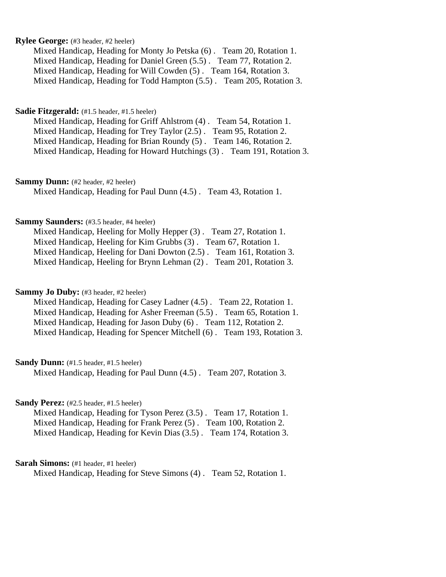## **Rylee George:** (#3 header, #2 heeler)

Mixed Handicap, Heading for Monty Jo Petska (6) . Team 20, Rotation 1. Mixed Handicap, Heading for Daniel Green (5.5) . Team 77, Rotation 2. Mixed Handicap, Heading for Will Cowden (5) . Team 164, Rotation 3. Mixed Handicap, Heading for Todd Hampton (5.5) . Team 205, Rotation 3.

## **Sadie Fitzgerald:** (#1.5 header, #1.5 heeler)

Mixed Handicap, Heading for Griff Ahlstrom (4) . Team 54, Rotation 1. Mixed Handicap, Heading for Trey Taylor (2.5) . Team 95, Rotation 2. Mixed Handicap, Heading for Brian Roundy (5) . Team 146, Rotation 2. Mixed Handicap, Heading for Howard Hutchings (3) . Team 191, Rotation 3.

**Sammy Dunn:** (#2 header, #2 heeler)

Mixed Handicap, Heading for Paul Dunn (4.5) . Team 43, Rotation 1.

## **Sammy Saunders:** (#3.5 header, #4 heeler)

Mixed Handicap, Heeling for Molly Hepper (3) . Team 27, Rotation 1. Mixed Handicap, Heeling for Kim Grubbs (3) . Team 67, Rotation 1. Mixed Handicap, Heeling for Dani Dowton (2.5) . Team 161, Rotation 3. Mixed Handicap, Heeling for Brynn Lehman (2) . Team 201, Rotation 3.

#### **Sammy Jo Duby:** (#3 header, #2 heeler)

Mixed Handicap, Heading for Casey Ladner (4.5) . Team 22, Rotation 1. Mixed Handicap, Heading for Asher Freeman (5.5) . Team 65, Rotation 1. Mixed Handicap, Heading for Jason Duby (6) . Team 112, Rotation 2. Mixed Handicap, Heading for Spencer Mitchell (6) . Team 193, Rotation 3.

#### **Sandy Dunn:** (#1.5 header, #1.5 heeler)

Mixed Handicap, Heading for Paul Dunn (4.5) . Team 207, Rotation 3.

## Sandy Perez: (#2.5 header, #1.5 heeler)

Mixed Handicap, Heading for Tyson Perez (3.5) . Team 17, Rotation 1. Mixed Handicap, Heading for Frank Perez (5) . Team 100, Rotation 2. Mixed Handicap, Heading for Kevin Dias (3.5) . Team 174, Rotation 3.

#### **Sarah Simons:** (#1 header, #1 heeler)

Mixed Handicap, Heading for Steve Simons (4) . Team 52, Rotation 1.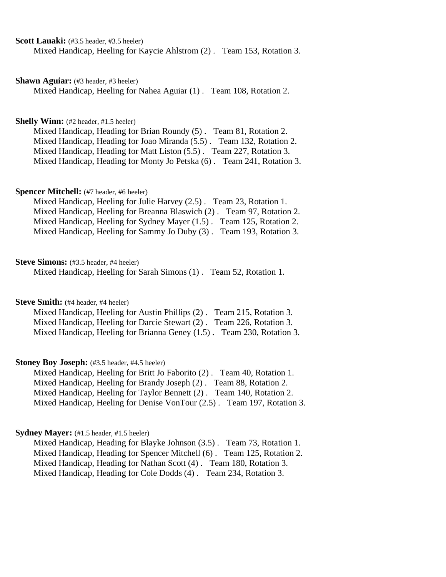## **Scott Lauaki:** (#3.5 header, #3.5 heeler)

Mixed Handicap, Heeling for Kaycie Ahlstrom (2) . Team 153, Rotation 3.

#### **Shawn Aguiar:** (#3 header, #3 heeler)

Mixed Handicap, Heeling for Nahea Aguiar (1) . Team 108, Rotation 2.

#### **Shelly Winn:** (#2 header, #1.5 heeler)

Mixed Handicap, Heading for Brian Roundy (5) . Team 81, Rotation 2. Mixed Handicap, Heading for Joao Miranda (5.5) . Team 132, Rotation 2. Mixed Handicap, Heading for Matt Liston (5.5) . Team 227, Rotation 3. Mixed Handicap, Heading for Monty Jo Petska (6) . Team 241, Rotation 3.

#### **Spencer Mitchell:** (#7 header, #6 heeler)

Mixed Handicap, Heeling for Julie Harvey (2.5) . Team 23, Rotation 1. Mixed Handicap, Heeling for Breanna Blaswich (2) . Team 97, Rotation 2. Mixed Handicap, Heeling for Sydney Mayer (1.5) . Team 125, Rotation 2. Mixed Handicap, Heeling for Sammy Jo Duby (3) . Team 193, Rotation 3.

#### **Steve Simons:** (#3.5 header, #4 heeler)

Mixed Handicap, Heeling for Sarah Simons (1) . Team 52, Rotation 1.

#### **Steve Smith:** (#4 header, #4 heeler)

Mixed Handicap, Heeling for Austin Phillips (2) . Team 215, Rotation 3. Mixed Handicap, Heeling for Darcie Stewart (2) . Team 226, Rotation 3. Mixed Handicap, Heeling for Brianna Geney (1.5) . Team 230, Rotation 3.

## **Stoney Boy Joseph:** (#3.5 header, #4.5 heeler)

Mixed Handicap, Heeling for Britt Jo Faborito (2) . Team 40, Rotation 1. Mixed Handicap, Heeling for Brandy Joseph (2) . Team 88, Rotation 2. Mixed Handicap, Heeling for Taylor Bennett (2) . Team 140, Rotation 2. Mixed Handicap, Heeling for Denise VonTour (2.5) . Team 197, Rotation 3.

#### **Sydney Mayer:** (#1.5 header, #1.5 heeler)

Mixed Handicap, Heading for Blayke Johnson (3.5) . Team 73, Rotation 1. Mixed Handicap, Heading for Spencer Mitchell (6) . Team 125, Rotation 2. Mixed Handicap, Heading for Nathan Scott (4) . Team 180, Rotation 3. Mixed Handicap, Heading for Cole Dodds (4) . Team 234, Rotation 3.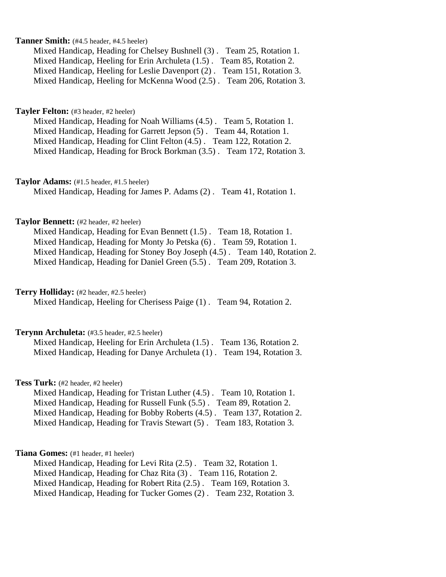## **Tanner Smith:** (#4.5 header, #4.5 heeler)

Mixed Handicap, Heading for Chelsey Bushnell (3) . Team 25, Rotation 1. Mixed Handicap, Heeling for Erin Archuleta (1.5) . Team 85, Rotation 2. Mixed Handicap, Heeling for Leslie Davenport (2) . Team 151, Rotation 3. Mixed Handicap, Heeling for McKenna Wood (2.5) . Team 206, Rotation 3.

#### **Tayler Felton:** (#3 header, #2 heeler)

Mixed Handicap, Heading for Noah Williams (4.5) . Team 5, Rotation 1. Mixed Handicap, Heading for Garrett Jepson (5) . Team 44, Rotation 1. Mixed Handicap, Heading for Clint Felton (4.5) . Team 122, Rotation 2. Mixed Handicap, Heading for Brock Borkman (3.5) . Team 172, Rotation 3.

#### **Taylor Adams:** (#1.5 header, #1.5 heeler)

Mixed Handicap, Heading for James P. Adams (2) . Team 41, Rotation 1.

#### **Taylor Bennett:** (#2 header, #2 heeler)

Mixed Handicap, Heading for Evan Bennett (1.5) . Team 18, Rotation 1. Mixed Handicap, Heading for Monty Jo Petska (6) . Team 59, Rotation 1. Mixed Handicap, Heading for Stoney Boy Joseph (4.5) . Team 140, Rotation 2. Mixed Handicap, Heading for Daniel Green (5.5) . Team 209, Rotation 3.

#### **Terry Holliday:** (#2 header, #2.5 heeler)

Mixed Handicap, Heeling for Cherisess Paige (1) . Team 94, Rotation 2.

### **Terynn Archuleta:** (#3.5 header, #2.5 heeler)

Mixed Handicap, Heeling for Erin Archuleta (1.5) . Team 136, Rotation 2. Mixed Handicap, Heading for Danye Archuleta (1) . Team 194, Rotation 3.

#### **Tess Turk:** (#2 header, #2 heeler)

Mixed Handicap, Heading for Tristan Luther (4.5) . Team 10, Rotation 1. Mixed Handicap, Heading for Russell Funk (5.5) . Team 89, Rotation 2. Mixed Handicap, Heading for Bobby Roberts (4.5) . Team 137, Rotation 2. Mixed Handicap, Heading for Travis Stewart (5) . Team 183, Rotation 3.

## **Tiana Gomes:** (#1 header, #1 heeler)

Mixed Handicap, Heading for Levi Rita (2.5) . Team 32, Rotation 1. Mixed Handicap, Heading for Chaz Rita (3) . Team 116, Rotation 2. Mixed Handicap, Heading for Robert Rita (2.5) . Team 169, Rotation 3. Mixed Handicap, Heading for Tucker Gomes (2) . Team 232, Rotation 3.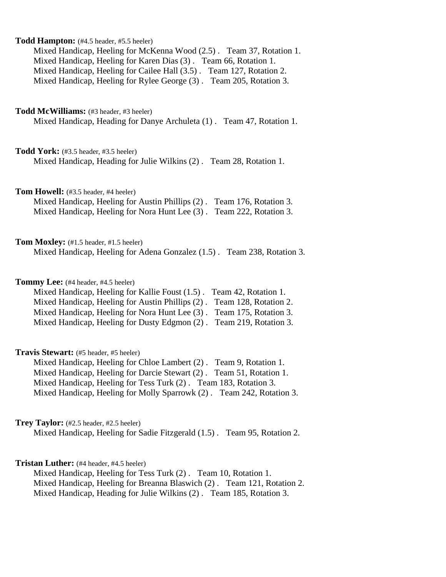| Todd Hampton: (#4.5 header, #5.5 heeler)<br>Mixed Handicap, Heeling for McKenna Wood (2.5). Team 37, Rotation 1.<br>Mixed Handicap, Heeling for Karen Dias (3). Team 66, Rotation 1.<br>Mixed Handicap, Heeling for Cailee Hall (3.5). Team 127, Rotation 2.<br>Mixed Handicap, Heeling for Rylee George (3). Team 205, Rotation 3.              |
|--------------------------------------------------------------------------------------------------------------------------------------------------------------------------------------------------------------------------------------------------------------------------------------------------------------------------------------------------|
| <b>Todd McWilliams:</b> (#3 header, #3 heeler)<br>Mixed Handicap, Heading for Danye Archuleta (1). Team 47, Rotation 1.                                                                                                                                                                                                                          |
| Todd York: (#3.5 header, #3.5 heeler)<br>Mixed Handicap, Heading for Julie Wilkins (2). Team 28, Rotation 1.                                                                                                                                                                                                                                     |
| Tom Howell: (#3.5 header, #4 heeler)<br>Mixed Handicap, Heeling for Austin Phillips (2). Team 176, Rotation 3.<br>Mixed Handicap, Heeling for Nora Hunt Lee (3).<br>Team 222, Rotation 3.                                                                                                                                                        |
| Tom Moxley: (#1.5 header, #1.5 heeler)<br>Mixed Handicap, Heeling for Adena Gonzalez (1.5). Team 238, Rotation 3.                                                                                                                                                                                                                                |
| Tommy Lee: (#4 header, #4.5 heeler)<br>Mixed Handicap, Heeling for Kallie Foust (1.5).<br>Team 42, Rotation 1.<br>Mixed Handicap, Heeling for Austin Phillips (2).<br>Team 128, Rotation 2.<br>Mixed Handicap, Heeling for Nora Hunt Lee (3).<br>Team 175, Rotation 3.<br>Mixed Handicap, Heeling for Dusty Edgmon (2).<br>Team 219, Rotation 3. |
| <b>Travis Stewart:</b> (#5 header, #5 heeler)<br>Mixed Handicap, Heeling for Chloe Lambert (2). Team 9, Rotation 1.<br>Mixed Handicap, Heeling for Darcie Stewart (2) . Team 51, Rotation 1.<br>Mixed Handicap, Heeling for Tess Turk (2). Team 183, Rotation 3.<br>Mixed Handicap, Heeling for Molly Sparrowk (2). Team 242, Rotation 3.        |
| Trey Taylor: (#2.5 header, #2.5 heeler)<br>Mixed Handicap, Heeling for Sadie Fitzgerald (1.5). Team 95, Rotation 2.                                                                                                                                                                                                                              |
| <b>Tristan Luther:</b> (#4 header, #4.5 heeler)<br>Mixed Handicap, Heeling for Tess Turk (2). Team 10, Rotation 1.<br>Mixed Handicap, Heeling for Breanna Blaswich (2). Team 121, Rotation 2.<br>Mixed Handicap, Heading for Julie Wilkins (2). Team 185, Rotation 3.                                                                            |